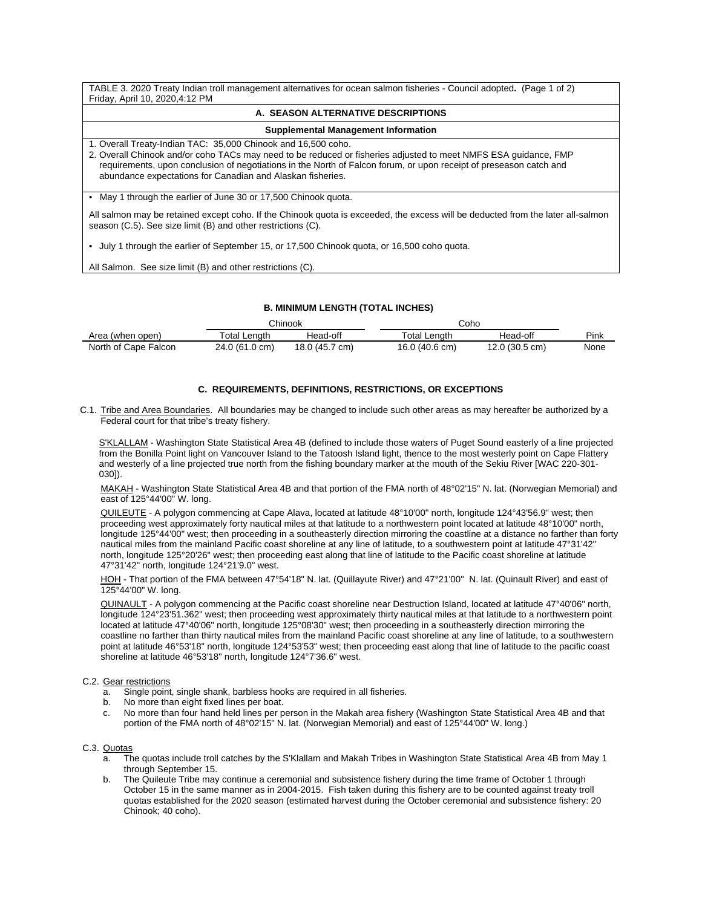TABLE 3. 2020 Treaty Indian troll management alternatives for ocean salmon fisheries - Council adopted**.** (Page 1 of 2) Friday, April 10, 2020,4:12 PM

#### **A. SEASON ALTERNATIVE DESCRIPTIONS**

### **Supplemental Management Information**

1. Overall Treaty-Indian TAC: 35,000 Chinook and 16,500 coho.

2. Overall Chinook and/or coho TACs may need to be reduced or fisheries adjusted to meet NMFS ESA guidance, FMP requirements, upon conclusion of negotiations in the North of Falcon forum, or upon receipt of preseason catch and abundance expectations for Canadian and Alaskan fisheries.

• May 1 through the earlier of June 30 or 17,500 Chinook quota.

All salmon may be retained except coho. If the Chinook quota is exceeded, the excess will be deducted from the later all-salmon season (C.5). See size limit (B) and other restrictions (C).

• July 1 through the earlier of September 15, or 17,500 Chinook quota, or 16,500 coho quota.

All Salmon. See size limit (B) and other restrictions (C).

## **B. MINIMUM LENGTH (TOTAL INCHES)**

|                      | Chinook        |                | Coho                    |                |      |
|----------------------|----------------|----------------|-------------------------|----------------|------|
| Area (when open)     | ⊤otal Lenɑth   | Head-off       | ⊤otal Lenɑth            | Head-off       | Pink |
| North of Cape Falcon | 24.0 (61.0 cm) | 18.0 (45.7 cm) | $16.0(40.6 \text{ cm})$ | 12.0 (30.5 cm) | None |

## **C. REQUIREMENTS, DEFINITIONS, RESTRICTIONS, OR EXCEPTIONS**

C.1. Tribe and Area Boundaries. All boundaries may be changed to include such other areas as may hereafter be authorized by a Federal court for that tribe's treaty fishery.

S'KLALLAM - Washington State Statistical Area 4B (defined to include those waters of Puget Sound easterly of a line projected from the Bonilla Point light on Vancouver Island to the Tatoosh Island light, thence to the most westerly point on Cape Flattery and westerly of a line projected true north from the fishing boundary marker at the mouth of the Sekiu River [WAC 220-301- 030]).

MAKAH - Washington State Statistical Area 4B and that portion of the FMA north of 48°02'15" N. lat. (Norwegian Memorial) and east of 125°44'00" W. long.

QUILEUTE - A polygon commencing at Cape Alava, located at latitude 48°10'00" north, longitude 124°43'56.9" west; then proceeding west approximately forty nautical miles at that latitude to a northwestern point located at latitude 48°10'00" north, longitude 125°44'00" west; then proceeding in a southeasterly direction mirroring the coastline at a distance no farther than forty nautical miles from the mainland Pacific coast shoreline at any line of latitude, to a southwestern point at latitude 47°31'42" north, longitude 125°20'26" west; then proceeding east along that line of latitude to the Pacific coast shoreline at latitude 47°31'42" north, longitude 124°21'9.0" west.

HOH - That portion of the FMA between 47°54'18" N. lat. (Quillayute River) and 47°21'00" N. lat. (Quinault River) and east of 125°44'00" W. long.

QUINAULT - A polygon commencing at the Pacific coast shoreline near Destruction Island, located at latitude 47°40'06" north, longitude 124°23'51.362" west; then proceeding west approximately thirty nautical miles at that latitude to a northwestern point located at latitude 47°40'06" north, longitude 125°08'30" west; then proceeding in a southeasterly direction mirroring the coastline no farther than thirty nautical miles from the mainland Pacific coast shoreline at any line of latitude, to a southwestern point at latitude 46°53'18" north, longitude 124°53'53" west; then proceeding east along that line of latitude to the pacific coast shoreline at latitude 46°53'18" north, longitude 124°7'36.6" west.

#### C.2. Gear restrictions

- a. Single point, single shank, barbless hooks are required in all fisheries.
- b. No more than eight fixed lines per boat.
- c. No more than four hand held lines per person in the Makah area fishery (Washington State Statistical Area 4B and that portion of the FMA north of 48°02'15" N. lat. (Norwegian Memorial) and east of 125°44'00" W. long.)

C.3. Quotas

- a. The quotas include troll catches by the S'Klallam and Makah Tribes in Washington State Statistical Area 4B from May 1 through September 15.
- b. The Quileute Tribe may continue a ceremonial and subsistence fishery during the time frame of October 1 through October 15 in the same manner as in 2004-2015. Fish taken during this fishery are to be counted against treaty troll quotas established for the 2020 season (estimated harvest during the October ceremonial and subsistence fishery: 20 Chinook; 40 coho).